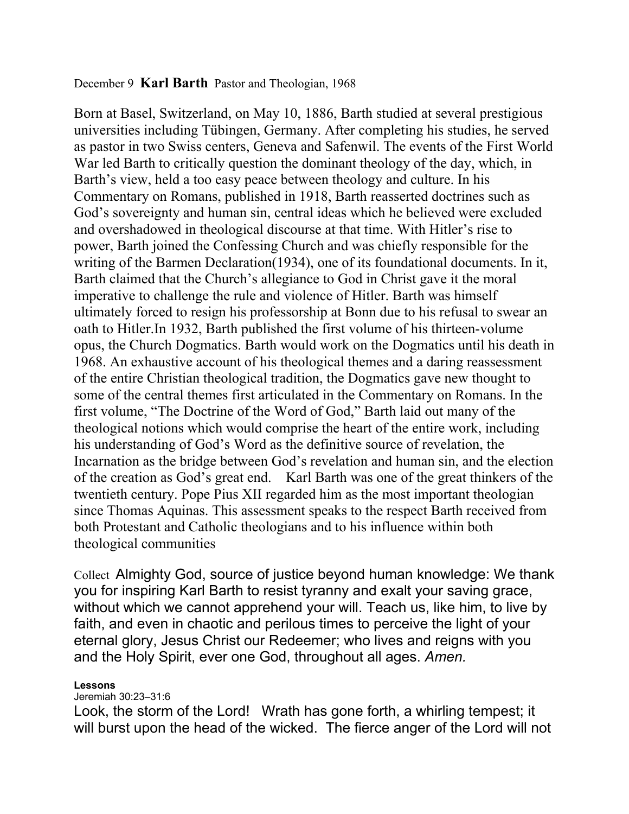## December 9 **Karl Barth** Pastor and Theologian, 1968

Born at Basel, Switzerland, on May 10, 1886, Barth studied at several prestigious universities including Tübingen, Germany. After completing his studies, he served as pastor in two Swiss centers, Geneva and Safenwil. The events of the First World War led Barth to critically question the dominant theology of the day, which, in Barth's view, held a too easy peace between theology and culture. In his Commentary on Romans, published in 1918, Barth reasserted doctrines such as God's sovereignty and human sin, central ideas which he believed were excluded and overshadowed in theological discourse at that time. With Hitler's rise to power, Barth joined the Confessing Church and was chiefly responsible for the writing of the Barmen Declaration(1934), one of its foundational documents. In it, Barth claimed that the Church's allegiance to God in Christ gave it the moral imperative to challenge the rule and violence of Hitler. Barth was himself ultimately forced to resign his professorship at Bonn due to his refusal to swear an oath to Hitler.In 1932, Barth published the first volume of his thirteen-volume opus, the Church Dogmatics. Barth would work on the Dogmatics until his death in 1968. An exhaustive account of his theological themes and a daring reassessment of the entire Christian theological tradition, the Dogmatics gave new thought to some of the central themes first articulated in the Commentary on Romans. In the first volume, "The Doctrine of the Word of God," Barth laid out many of the theological notions which would comprise the heart of the entire work, including his understanding of God's Word as the definitive source of revelation, the Incarnation as the bridge between God's revelation and human sin, and the election of the creation as God's great end. Karl Barth was one of the great thinkers of the twentieth century. Pope Pius XII regarded him as the most important theologian since Thomas Aquinas. This assessment speaks to the respect Barth received from both Protestant and Catholic theologians and to his influence within both theological communities

Collect Almighty God, source of justice beyond human knowledge: We thank you for inspiring Karl Barth to resist tyranny and exalt your saving grace, without which we cannot apprehend your will. Teach us, like him, to live by faith, and even in chaotic and perilous times to perceive the light of your eternal glory, Jesus Christ our Redeemer; who lives and reigns with you and the Holy Spirit, ever one God, throughout all ages. *Amen.*

## **Lessons**

## Jeremiah 30:23–31:6

Look, the storm of the Lord! Wrath has gone forth, a whirling tempest; it will burst upon the head of the wicked. The fierce anger of the Lord will not